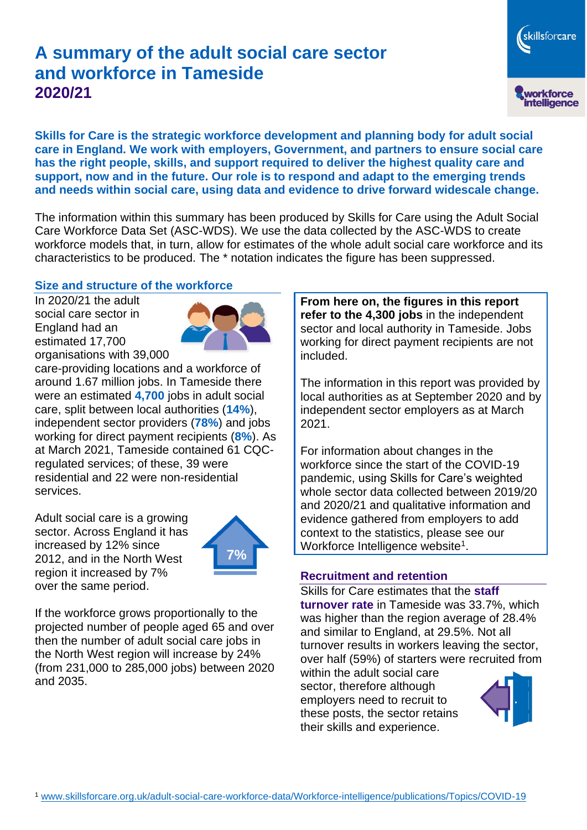# **A summary of the adult social care sector and workforce in Tameside 2020/21**

workforce<br>intelligence **Skills for Care is the strategic workforce development and planning body for adult social care in England. We work with employers, Government, and partners to ensure social care has the right people, skills, and support required to deliver the highest quality care and support, now and in the future. Our role is to respond and adapt to the emerging trends** 

**and needs within social care, using data and evidence to drive forward widescale change.**

The information within this summary has been produced by Skills for Care using the Adult Social Care Workforce Data Set (ASC-WDS). We use the data collected by the ASC-WDS to create workforce models that, in turn, allow for estimates of the whole adult social care workforce and its characteristics to be produced. The \* notation indicates the figure has been suppressed.

## **Size and structure of the workforce**

In 2020/21 the adult social care sector in England had an estimated 17,700 organisations with 39,000



care-providing locations and a workforce of around 1.67 million jobs. In Tameside there were an estimated **4,700** jobs in adult social care, split between local authorities (**14%**), independent sector providers (**78%**) and jobs working for direct payment recipients (**8%**). As at March 2021, Tameside contained 61 CQCregulated services; of these, 39 were residential and 22 were non-residential services.

Adult social care is a growing sector. Across England it has increased by 12% since 2012, and in the North West region it increased by 7% over the same period.



If the workforce grows proportionally to the projected number of people aged 65 and over then the number of adult social care jobs in the North West region will increase by 24% (from 231,000 to 285,000 jobs) between 2020 and 2035.

**From here on, the figures in this report refer to the 4,300 jobs** in the independent sector and local authority in Tameside. Jobs working for direct payment recipients are not included.

The information in this report was provided by local authorities as at September 2020 and by independent sector employers as at March 2021.

For information about changes in the workforce since the start of the COVID-19 pandemic, using Skills for Care's weighted whole sector data collected between 2019/20 and 2020/21 and qualitative information and evidence gathered from employers to add context to the statistics, please see our Workforce Intelligence website<sup>1</sup>.

#### **Recruitment and retention**

Skills for Care estimates that the **staff turnover rate** in Tameside was 33.7%, which was higher than the region average of 28.4% and similar to England, at 29.5%. Not all turnover results in workers leaving the sector, over half (59%) of starters were recruited from

within the adult social care sector, therefore although employers need to recruit to these posts, the sector retains their skills and experience.



skillsforcare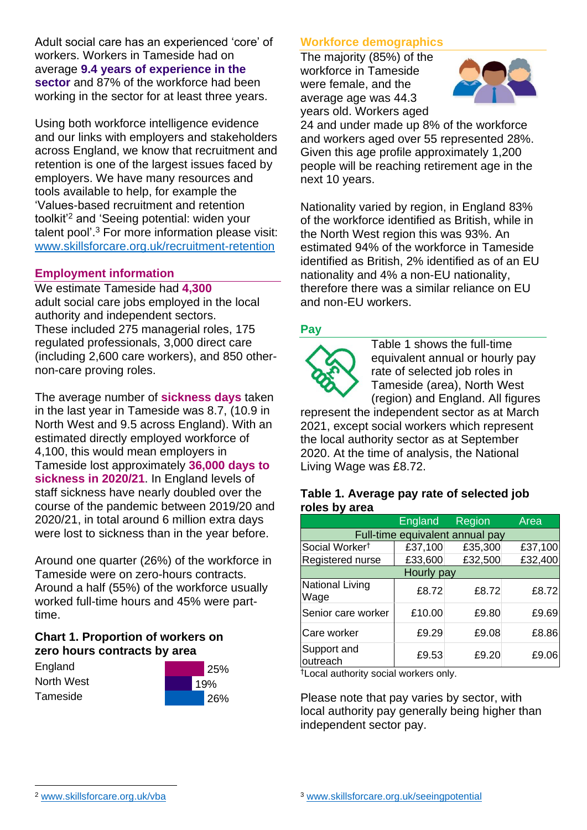Adult social care has an experienced 'core' of workers. Workers in Tameside had on average **9.4 years of experience in the sector** and 87% of the workforce had been working in the sector for at least three years.

Using both workforce intelligence evidence and our links with employers and stakeholders across England, we know that recruitment and retention is one of the largest issues faced by employers. We have many resources and tools available to help, for example the 'Values-based recruitment and retention toolkit'<sup>2</sup> and 'Seeing potential: widen your talent pool'. <sup>3</sup> For more information please visit: [www.skillsforcare.org.uk/recruitment-retention](http://www.skillsforcare.org.uk/recruitment-retention)

## **Employment information**

We estimate Tameside had **4,300** adult social care jobs employed in the local authority and independent sectors. These included 275 managerial roles, 175 regulated professionals, 3,000 direct care (including 2,600 care workers), and 850 othernon-care proving roles.

The average number of **sickness days** taken in the last year in Tameside was 8.7, (10.9 in North West and 9.5 across England). With an estimated directly employed workforce of 4,100, this would mean employers in Tameside lost approximately **36,000 days to sickness in 2020/21**. In England levels of staff sickness have nearly doubled over the course of the pandemic between 2019/20 and 2020/21, in total around 6 million extra days were lost to sickness than in the year before.

Around one quarter (26%) of the workforce in Tameside were on zero-hours contracts. Around a half (55%) of the workforce usually worked full-time hours and 45% were parttime.

# **Chart 1. Proportion of workers on zero hours contracts by area**

| England    |  |
|------------|--|
| North West |  |
| Tameside   |  |



# **Workforce demographics**

The majority (85%) of the workforce in Tameside were female, and the average age was 44.3 years old. Workers aged



24 and under made up 8% of the workforce and workers aged over 55 represented 28%. Given this age profile approximately 1,200 people will be reaching retirement age in the next 10 years.

Nationality varied by region, in England 83% of the workforce identified as British, while in the North West region this was 93%. An estimated 94% of the workforce in Tameside identified as British, 2% identified as of an EU nationality and 4% a non-EU nationality, therefore there was a similar reliance on EU and non-EU workers.

# **Pay**



Table 1 shows the full-time equivalent annual or hourly pay rate of selected job roles in Tameside (area), North West (region) and England. All figures

represent the independent sector as at March 2021, except social workers which represent the local authority sector as at September 2020. At the time of analysis, the National Living Wage was £8.72.

#### **Table 1. Average pay rate of selected job roles by area**

|                                 | <b>England</b> | Region  | Area    |
|---------------------------------|----------------|---------|---------|
| Full-time equivalent annual pay |                |         |         |
| Social Worker <sup>t</sup>      | £37,100        | £35,300 | £37,100 |
| Registered nurse                | £33,600        | £32,500 | £32,400 |
| Hourly pay                      |                |         |         |
| National Living<br>Wage         | £8.72          | £8.72   | £8.72   |
| Senior care worker              | £10.00         | £9.80   | £9.69   |
| Care worker                     | £9.29          | £9.08   | £8.86   |
| Support and<br>outreach         | £9.53          | £9.20   | £9.06   |

†Local authority social workers only.

Please note that pay varies by sector, with local authority pay generally being higher than independent sector pay.

[www.skillsforcare.org.uk/vba](http://www.skillsforcare.org.uk/vba)